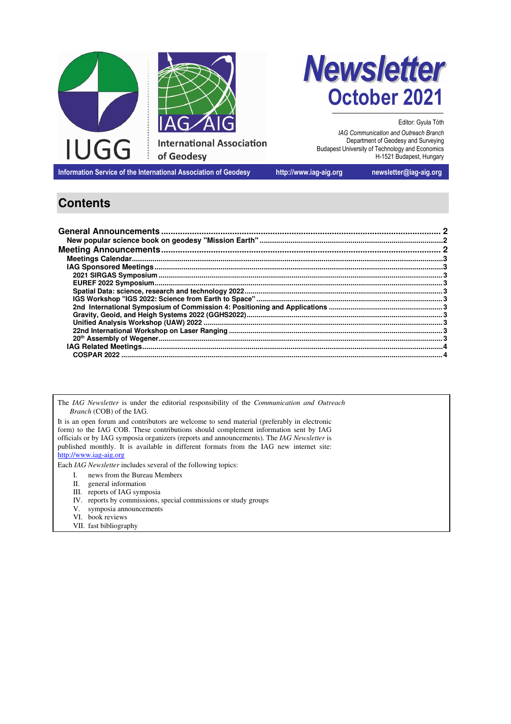



Editor: Gyula Tóth *IAG Communication and Outreach Branch*  Department of Geodesy and Surveying Budapest University of Technology and Economics H-1521 Budapest, Hungary

**Information Service of the International Association of Geodesy http://www.iag-aig.org newsletter@iag-aig.org**

# **Contents**

The *IAG Newsletter* is under the editorial responsibility of the *Communication and Outreach Branch* (COB) of the IAG.

It is an open forum and contributors are welcome to send material (preferably in electronic form) to the IAG COB. These contributions should complement information sent by IAG officials or by IAG symposia organizers (reports and announcements). The *IAG Newsletter* is published monthly. It is available in different formats from the IAG new internet site: http://www.iag-aig.org

Each *IAG Newsletter* includes several of the following topics:

- I. news from the Bureau Members<br>II. general information
- general information
- III. reports of IAG symposia
- IV. reports by commissions, special commissions or study groups
- V. symposia announcements
- VI. book reviews
- VII. fast bibliography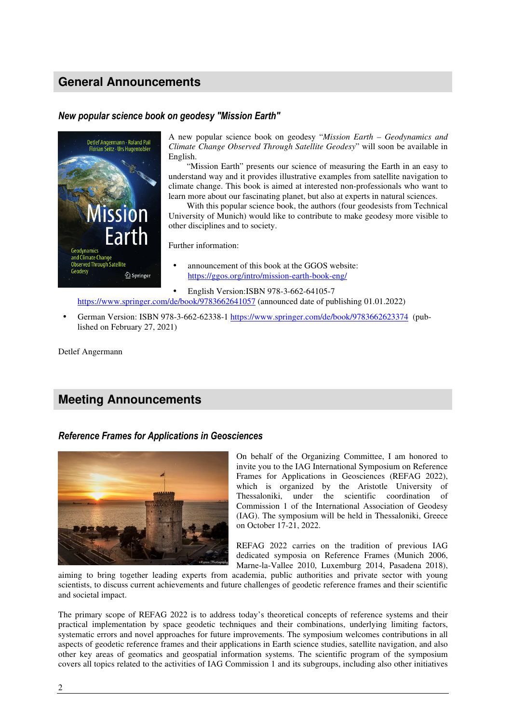## **General Announcements**

### *New popular science book on geodesy "Mission Earth"*



A new popular science book on geodesy "*Mission Earth – Geodynamics and Climate Change Observed Through Satellite Geodesy*" will soon be available in English.

"Mission Earth" presents our science of measuring the Earth in an easy to understand way and it provides illustrative examples from satellite navigation to climate change. This book is aimed at interested non-professionals who want to learn more about our fascinating planet, but also at experts in natural sciences.

With this popular science book, the authors (four geodesists from Technical University of Munich) would like to contribute to make geodesy more visible to other disciplines and to society.

Further information:

- announcement of this book at the GGOS website: https://ggos.org/intro/mission-earth-book-eng/
- English Version:ISBN 978-3-662-64105-7

https://www.springer.com/de/book/9783662641057 (announced date of publishing 01.01.2022)

• German Version: ISBN 978-3-662-62338-1 https://www.springer.com/de/book/9783662623374 (published on February 27, 2021)

Detlef Angermann

## **Meeting Announcements**

#### *Reference Frames for Applications in Geosciences*



On behalf of the Organizing Committee, I am honored to invite you to the IAG International Symposium on Reference Frames for Applications in Geosciences (REFAG 2022), which is organized by the Aristotle University of Thessaloniki, under the scientific coordination of Commission 1 of the International Association of Geodesy (IAG). The symposium will be held in Thessaloniki, Greece on October 17-21, 2022.

REFAG 2022 carries on the tradition of previous IAG dedicated symposia on Reference Frames (Munich 2006, Marne-la-Vallee 2010, Luxemburg 2014, Pasadena 2018),

aiming to bring together leading experts from academia, public authorities and private sector with young scientists, to discuss current achievements and future challenges of geodetic reference frames and their scientific and societal impact.

The primary scope of REFAG 2022 is to address today's theoretical concepts of reference systems and their practical implementation by space geodetic techniques and their combinations, underlying limiting factors, systematic errors and novel approaches for future improvements. The symposium welcomes contributions in all aspects of geodetic reference frames and their applications in Earth science studies, satellite navigation, and also other key areas of geomatics and geospatial information systems. The scientific program of the symposium covers all topics related to the activities of IAG Commission 1 and its subgroups, including also other initiatives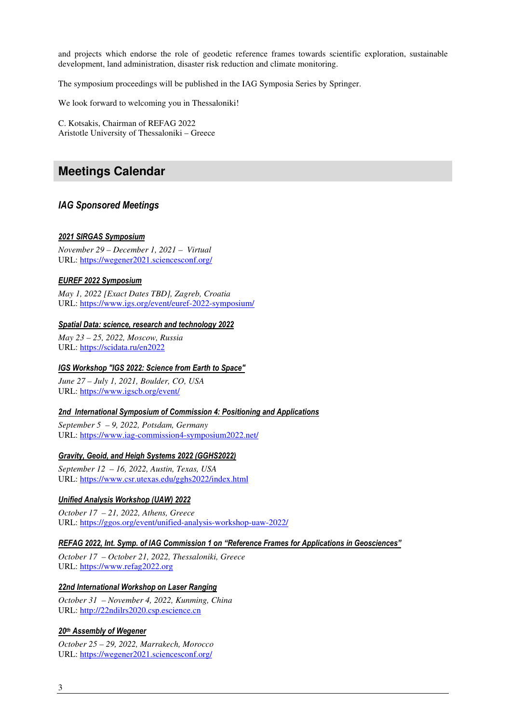and projects which endorse the role of geodetic reference frames towards scientific exploration, sustainable development, land administration, disaster risk reduction and climate monitoring.

The symposium proceedings will be published in the IAG Symposia Series by Springer.

We look forward to welcoming you in Thessaloniki!

C. Kotsakis, Chairman of REFAG 2022 Aristotle University of Thessaloniki – Greece

### **Meetings Calendar**

#### *IAG Sponsored Meetings*

#### *2021 SIRGAS Symposium*

*November 29 – December 1, 2021 – Virtual*  URL: https://wegener2021.sciencesconf.org/

#### *EUREF 2022 Symposium*

*May 1, 2022 [Exact Dates TBD], Zagreb, Croatia*  URL: https://www.igs.org/event/euref-2022-symposium/

#### *Spatial Data: science, research and technology 2022*

*May 23 – 25, 2022, Moscow, Russia*  URL: https://scidata.ru/en2022

#### *IGS Workshop "IGS 2022: Science from Earth to Space"*

*June 27 – July 1, 2021, Boulder, CO, USA*  URL: https://www.igscb.org/event/

#### *2nd International Symposium of Commission 4: Positioning and Applications*

*September 5 – 9, 2022, Potsdam, Germany*  URL: https://www.iag-commission4-symposium2022.net/

#### *Gravity, Geoid, and Heigh Systems 2022 (GGHS2022)*

*September 12 – 16, 2022, Austin, Texas, USA*  URL: https://www.csr.utexas.edu/gghs2022/index.html

#### *Unified Analysis Workshop (UAW) 2022*

*October 17 – 21, 2022, Athens, Greece*  URL: https://ggos.org/event/unified-analysis-workshop-uaw-2022/

#### *REFAG 2022, Int. Symp. of IAG Commission 1 on "Reference Frames for Applications in Geosciences"*

*October 17 – October 21, 2022, Thessaloniki, Greece*  URL: https://www.refag2022.org

#### *22nd International Workshop on Laser Ranging*

*October 31 – November 4, 2022, Kunming, China*  URL: http://22ndilrs2020.csp.escience.cn

#### *20th Assembly of Wegener*

*October 25 – 29, 2022, Marrakech, Morocco*  URL: https://wegener2021.sciencesconf.org/